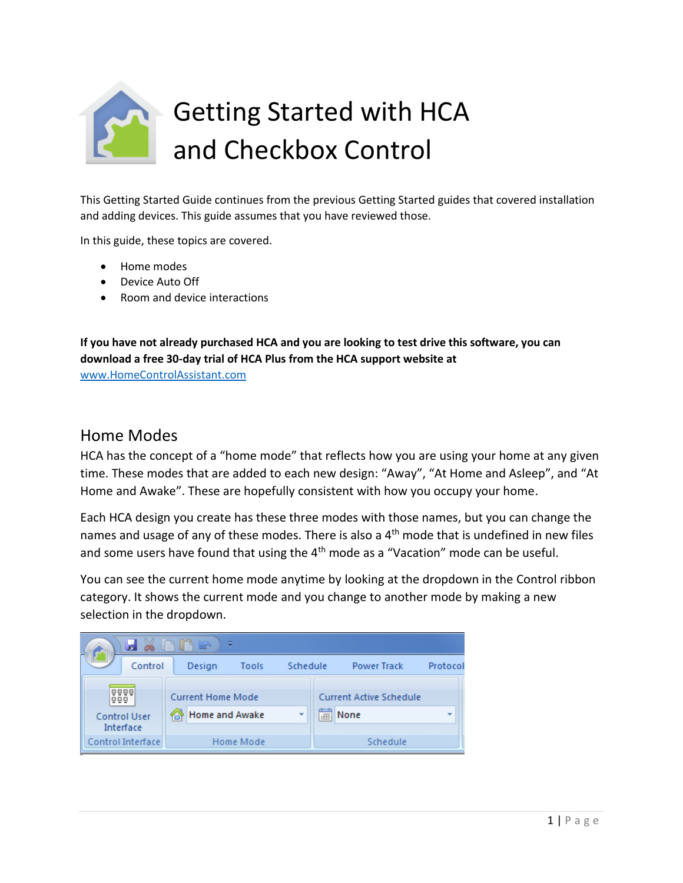

This Getting Started Guide continues from the previous Getting Started guides that covered installation and adding devices. This guide assumes that you have reviewed those.

In this guide, these topics are covered.

- Home modes
- Device Auto Off
- Room and device interactions

**If you have not already purchased HCA and you are looking to test drive this software, you can download a free 30-day trial of HCA Plus from the HCA support website at**  [www.HomeControlAssistant.com](http://www.homecontrolassistant.com/)

### Home Modes

HCA has the concept of a "home mode" that reflects how you are using your home at any given time. These modes that are added to each new design: "Away", "At Home and Asleep", and "At Home and Awake". These are hopefully consistent with how you occupy your home.

Each HCA design you create has these three modes with those names, but you can change the names and usage of any of these modes. There is also a 4<sup>th</sup> mode that is undefined in new files and some users have found that using the 4<sup>th</sup> mode as a "Vacation" mode can be useful.

You can see the current home mode anytime by looking at the dropdown in the Control ribbon category. It shows the current mode and you change to another mode by making a new selection in the dropdown.

|  |     | - 24<br>Ы                        | 自自全                      | ₹                |          |                                |                    |                          |
|--|-----|----------------------------------|--------------------------|------------------|----------|--------------------------------|--------------------|--------------------------|
|  |     | Control                          | Design                   | Tools            | Schedule |                                | <b>Power Track</b> | Protocol                 |
|  | 999 | 0000                             | <b>Current Home Mode</b> |                  |          | <b>Current Active Schedule</b> |                    |                          |
|  |     | <b>Control User</b><br>Interface | <b>Home and Awake</b>    |                  |          | 葍                              | None               | $\overline{\phantom{a}}$ |
|  |     | Control Interface                |                          | <b>Home Mode</b> |          |                                | Schedule           |                          |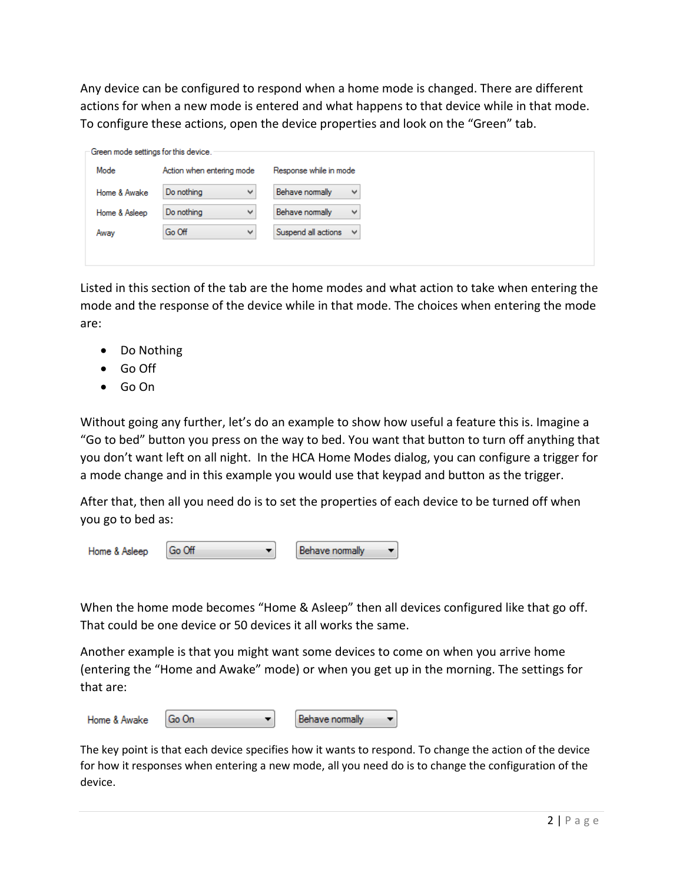Any device can be configured to respond when a home mode is changed. There are different actions for when a new mode is entered and what happens to that device while in that mode. To configure these actions, open the device properties and look on the "Green" tab.

| Green mode settings for this device. |                           |                                     |
|--------------------------------------|---------------------------|-------------------------------------|
| Mode                                 | Action when entering mode | Response while in mode              |
| Home & Awake                         | Do nothing<br>v           | Behave nomally<br>v                 |
| Home & Asleep                        | Do nothing<br>v           | Behave nomally<br>v                 |
| Away                                 | Go Off<br>v               | Suspend all actions<br>$\checkmark$ |
|                                      |                           |                                     |

Listed in this section of the tab are the home modes and what action to take when entering the mode and the response of the device while in that mode. The choices when entering the mode are:

- Do Nothing
- Go Off
- Go On

Without going any further, let's do an example to show how useful a feature this is. Imagine a "Go to bed" button you press on the way to bed. You want that button to turn off anything that you don't want left on all night. In the HCA Home Modes dialog, you can configure a trigger for a mode change and in this example you would use that keypad and button as the trigger.

After that, then all you need do is to set the properties of each device to be turned off when you go to bed as:

| Home & Asleep | l Go Off |  | Behave nomally |  |
|---------------|----------|--|----------------|--|
|---------------|----------|--|----------------|--|

When the home mode becomes "Home & Asleep" then all devices configured like that go off. That could be one device or 50 devices it all works the same.

Another example is that you might want some devices to come on when you arrive home (entering the "Home and Awake" mode) or when you get up in the morning. The settings for that are:

| Home & Awake | l Go On |  | I Behave nomally |  |
|--------------|---------|--|------------------|--|
|--------------|---------|--|------------------|--|

The key point is that each device specifies how it wants to respond. To change the action of the device for how it responses when entering a new mode, all you need do is to change the configuration of the device.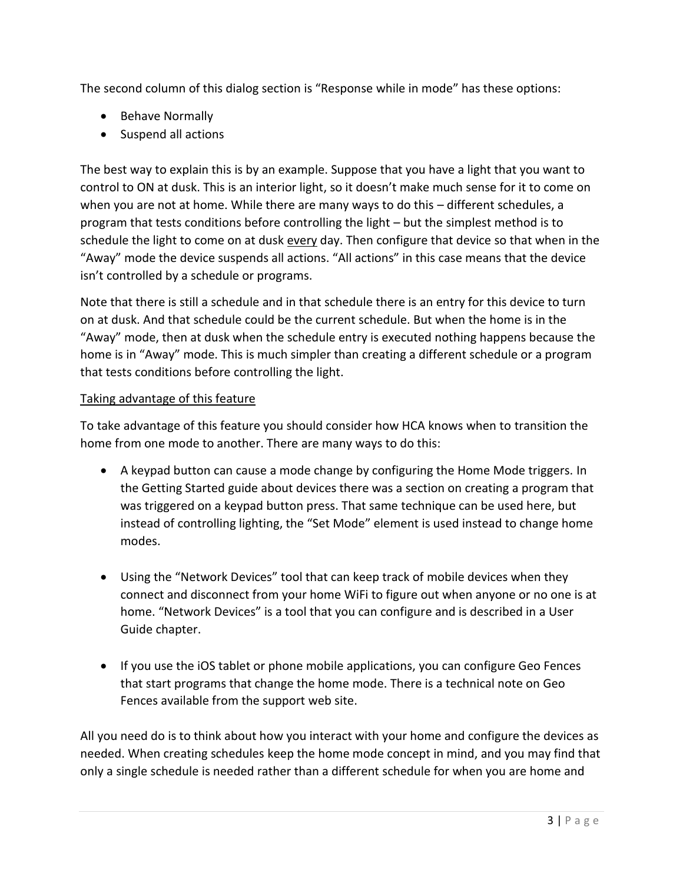The second column of this dialog section is "Response while in mode" has these options:

- Behave Normally
- Suspend all actions

The best way to explain this is by an example. Suppose that you have a light that you want to control to ON at dusk. This is an interior light, so it doesn't make much sense for it to come on when you are not at home. While there are many ways to do this – different schedules, a program that tests conditions before controlling the light – but the simplest method is to schedule the light to come on at dusk every day. Then configure that device so that when in the "Away" mode the device suspends all actions. "All actions" in this case means that the device isn't controlled by a schedule or programs.

Note that there is still a schedule and in that schedule there is an entry for this device to turn on at dusk. And that schedule could be the current schedule. But when the home is in the "Away" mode, then at dusk when the schedule entry is executed nothing happens because the home is in "Away" mode. This is much simpler than creating a different schedule or a program that tests conditions before controlling the light.

#### Taking advantage of this feature

To take advantage of this feature you should consider how HCA knows when to transition the home from one mode to another. There are many ways to do this:

- A keypad button can cause a mode change by configuring the Home Mode triggers. In the Getting Started guide about devices there was a section on creating a program that was triggered on a keypad button press. That same technique can be used here, but instead of controlling lighting, the "Set Mode" element is used instead to change home modes.
- Using the "Network Devices" tool that can keep track of mobile devices when they connect and disconnect from your home WiFi to figure out when anyone or no one is at home. "Network Devices" is a tool that you can configure and is described in a User Guide chapter.
- If you use the iOS tablet or phone mobile applications, you can configure Geo Fences that start programs that change the home mode. There is a technical note on Geo Fences available from the support web site.

All you need do is to think about how you interact with your home and configure the devices as needed. When creating schedules keep the home mode concept in mind, and you may find that only a single schedule is needed rather than a different schedule for when you are home and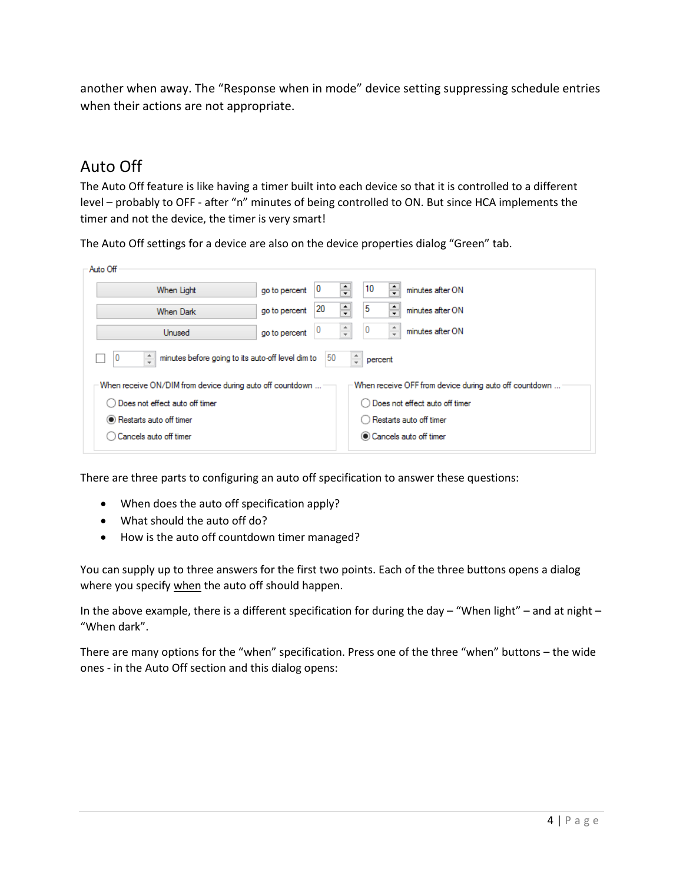another when away. The "Response when in mode" device setting suppressing schedule entries when their actions are not appropriate.

# Auto Off

The Auto Off feature is like having a timer built into each device so that it is controlled to a different level – probably to OFF - after "n" minutes of being controlled to ON. But since HCA implements the timer and not the device, the timer is very smart!

The Auto Off settings for a device are also on the device properties dialog "Green" tab.

| Auto Off                                                  |                                                                         |              |                      |    |                      |                                                        |  |  |  |  |  |  |
|-----------------------------------------------------------|-------------------------------------------------------------------------|--------------|----------------------|----|----------------------|--------------------------------------------------------|--|--|--|--|--|--|
| When Light                                                | go to percent                                                           | ÷<br>o       |                      | 10 | ÷                    | minutes after ON                                       |  |  |  |  |  |  |
| <b>When Dark</b>                                          | go to percent                                                           | $\div$<br>20 |                      | 5  | ÷                    | minutes after ON                                       |  |  |  |  |  |  |
| Unused                                                    | go to percent                                                           |              | $\frac{1}{\sqrt{2}}$ |    | $\frac{1}{\sqrt{2}}$ | minutes after ON                                       |  |  |  |  |  |  |
| ÷<br>0                                                    | ÷<br>minutes before going to its auto-off level dim to<br>50<br>percent |              |                      |    |                      |                                                        |  |  |  |  |  |  |
| When receive ON/DIM from device during auto off countdown |                                                                         |              |                      |    |                      | When receive OFF from device during auto off countdown |  |  |  |  |  |  |
| Does not effect auto off timer                            |                                                                         |              |                      | ∩  |                      | Does not effect auto off timer                         |  |  |  |  |  |  |
| Restarts auto off timer                                   |                                                                         |              |                      |    |                      | ◯ Restarts auto off timer                              |  |  |  |  |  |  |
| Cancels auto off timer                                    |                                                                         |              |                      |    |                      | Cancels auto off timer                                 |  |  |  |  |  |  |

There are three parts to configuring an auto off specification to answer these questions:

- When does the auto off specification apply?
- What should the auto off do?
- How is the auto off countdown timer managed?

You can supply up to three answers for the first two points. Each of the three buttons opens a dialog where you specify when the auto off should happen.

In the above example, there is a different specification for during the day  $-$  "When light" – and at night – "When dark".

There are many options for the "when" specification. Press one of the three "when" buttons – the wide ones - in the Auto Off section and this dialog opens: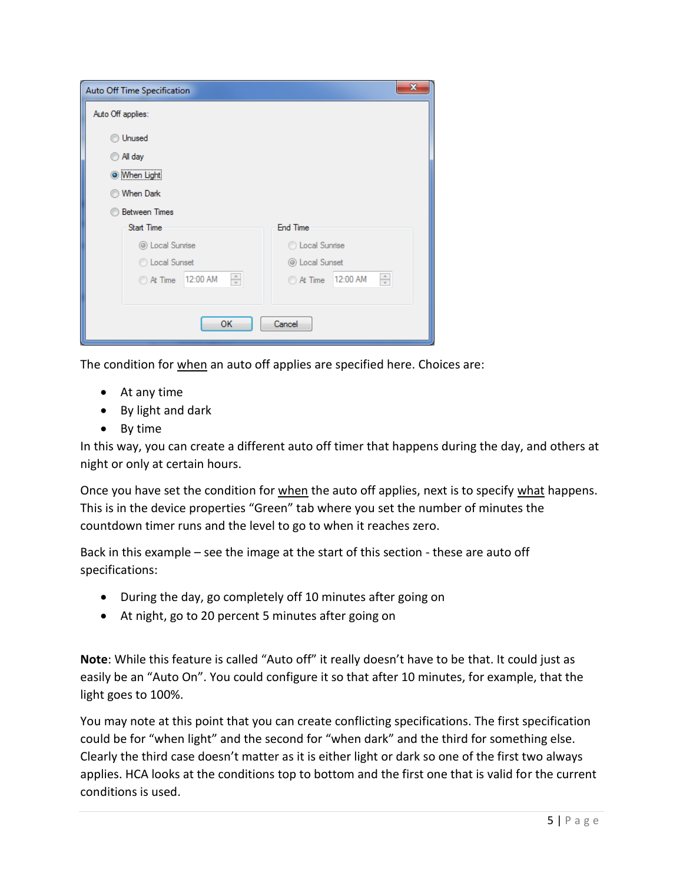| Auto Off Time Specification                  | $\mathbf x$                               |  |  |  |  |  |
|----------------------------------------------|-------------------------------------------|--|--|--|--|--|
| Auto Off applies:                            |                                           |  |  |  |  |  |
| Unused                                       |                                           |  |  |  |  |  |
| All day                                      |                                           |  |  |  |  |  |
| <b>When Light</b>                            |                                           |  |  |  |  |  |
| <b>When Dark</b>                             |                                           |  |  |  |  |  |
| <b>Between Times</b>                         |                                           |  |  |  |  |  |
| <b>Start Time</b>                            | <b>End Time</b>                           |  |  |  |  |  |
| © Local Sunrise                              | C Local Sunrise                           |  |  |  |  |  |
| C Local Sunset                               | © Local Sunset                            |  |  |  |  |  |
| $\frac{\Delta}{\Psi}$<br>12:00 AM<br>At Time | $\frac{\Delta}{\Psi}$<br>At Time 12:00 AM |  |  |  |  |  |
|                                              |                                           |  |  |  |  |  |
| OK                                           | Cancel                                    |  |  |  |  |  |

The condition for when an auto off applies are specified here. Choices are:

- At any time
- By light and dark
- By time

In this way, you can create a different auto off timer that happens during the day, and others at night or only at certain hours.

Once you have set the condition for when the auto off applies, next is to specify what happens. This is in the device properties "Green" tab where you set the number of minutes the countdown timer runs and the level to go to when it reaches zero.

Back in this example – see the image at the start of this section - these are auto off specifications:

- During the day, go completely off 10 minutes after going on
- At night, go to 20 percent 5 minutes after going on

**Note**: While this feature is called "Auto off" it really doesn't have to be that. It could just as easily be an "Auto On". You could configure it so that after 10 minutes, for example, that the light goes to 100%.

You may note at this point that you can create conflicting specifications. The first specification could be for "when light" and the second for "when dark" and the third for something else. Clearly the third case doesn't matter as it is either light or dark so one of the first two always applies. HCA looks at the conditions top to bottom and the first one that is valid for the current conditions is used.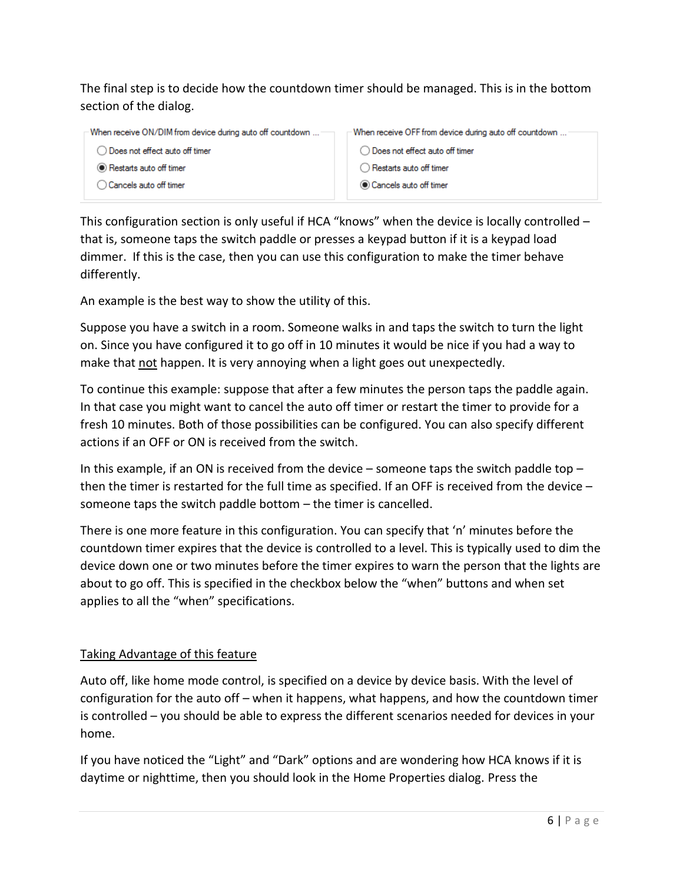The final step is to decide how the countdown timer should be managed. This is in the bottom section of the dialog.

When receive ON/DIM from device during auto off countdown ... When receive OFF from device during auto off countdown .. ◯ Does not effect auto off timer ◯ Does not effect auto off timer Restarts auto off timer ◯ Restarts auto off timer ◯ Cancels auto off timer Cancels auto off timer

This configuration section is only useful if HCA "knows" when the device is locally controlled – that is, someone taps the switch paddle or presses a keypad button if it is a keypad load dimmer. If this is the case, then you can use this configuration to make the timer behave differently.

An example is the best way to show the utility of this.

Suppose you have a switch in a room. Someone walks in and taps the switch to turn the light on. Since you have configured it to go off in 10 minutes it would be nice if you had a way to make that not happen. It is very annoying when a light goes out unexpectedly.

To continue this example: suppose that after a few minutes the person taps the paddle again. In that case you might want to cancel the auto off timer or restart the timer to provide for a fresh 10 minutes. Both of those possibilities can be configured. You can also specify different actions if an OFF or ON is received from the switch.

In this example, if an ON is received from the device  $-$  someone taps the switch paddle top  $$ then the timer is restarted for the full time as specified. If an OFF is received from the device – someone taps the switch paddle bottom – the timer is cancelled.

There is one more feature in this configuration. You can specify that 'n' minutes before the countdown timer expires that the device is controlled to a level. This is typically used to dim the device down one or two minutes before the timer expires to warn the person that the lights are about to go off. This is specified in the checkbox below the "when" buttons and when set applies to all the "when" specifications.

#### Taking Advantage of this feature

Auto off, like home mode control, is specified on a device by device basis. With the level of configuration for the auto off – when it happens, what happens, and how the countdown timer is controlled – you should be able to express the different scenarios needed for devices in your home.

If you have noticed the "Light" and "Dark" options and are wondering how HCA knows if it is daytime or nighttime, then you should look in the Home Properties dialog. Press the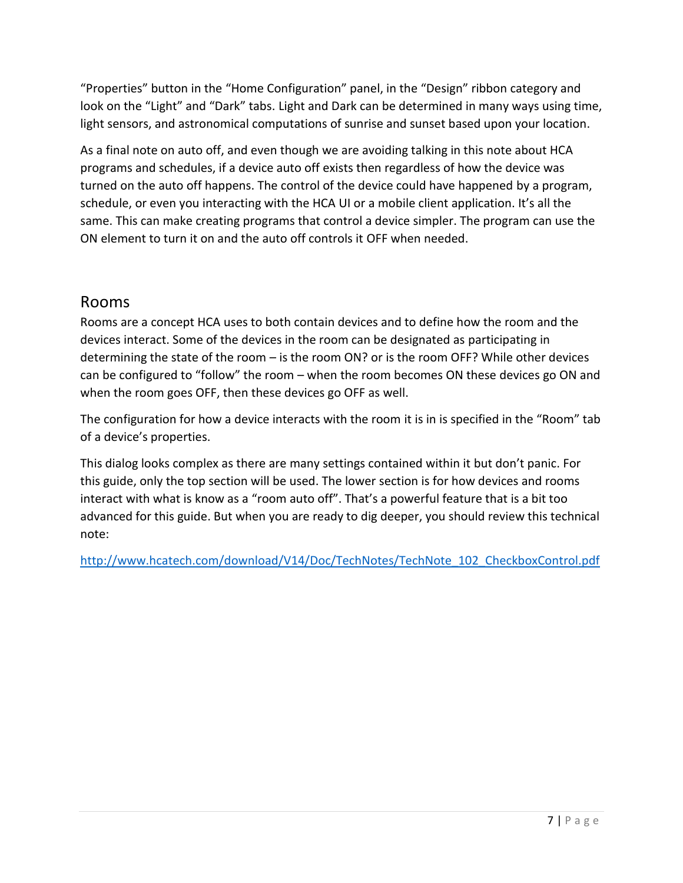"Properties" button in the "Home Configuration" panel, in the "Design" ribbon category and look on the "Light" and "Dark" tabs. Light and Dark can be determined in many ways using time, light sensors, and astronomical computations of sunrise and sunset based upon your location.

As a final note on auto off, and even though we are avoiding talking in this note about HCA programs and schedules, if a device auto off exists then regardless of how the device was turned on the auto off happens. The control of the device could have happened by a program, schedule, or even you interacting with the HCA UI or a mobile client application. It's all the same. This can make creating programs that control a device simpler. The program can use the ON element to turn it on and the auto off controls it OFF when needed.

### Rooms

Rooms are a concept HCA uses to both contain devices and to define how the room and the devices interact. Some of the devices in the room can be designated as participating in determining the state of the room – is the room ON? or is the room OFF? While other devices can be configured to "follow" the room – when the room becomes ON these devices go ON and when the room goes OFF, then these devices go OFF as well.

The configuration for how a device interacts with the room it is in is specified in the "Room" tab of a device's properties.

This dialog looks complex as there are many settings contained within it but don't panic. For this guide, only the top section will be used. The lower section is for how devices and rooms interact with what is know as a "room auto off". That's a powerful feature that is a bit too advanced for this guide. But when you are ready to dig deeper, you should review this technical note:

[http://www.hcatech.com/download/V14/Doc/TechNotes/TechNote\\_102\\_CheckboxControl.pdf](http://www.hcatech.com/download/V14/Doc/TechNotes/TechNote_102_CheckboxControl.pdf)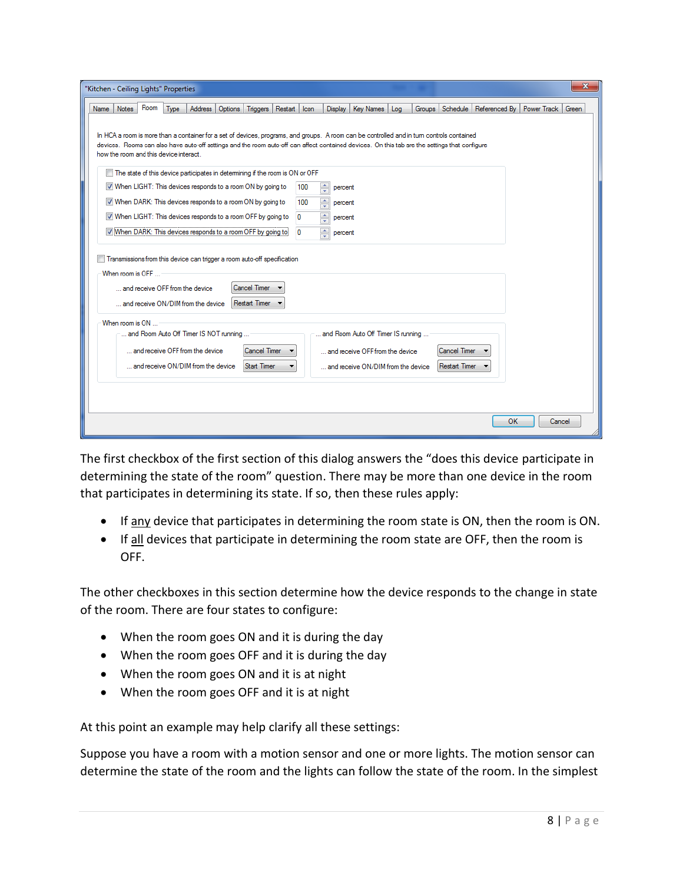|             |                  |      | "Kitchen - Ceiling Lights" Properties  |                                                                               |         |                     |              |                |                                 |                                    |     |                                                                                                                                                                                                                                                                                             |               |             | x      |
|-------------|------------------|------|----------------------------------------|-------------------------------------------------------------------------------|---------|---------------------|--------------|----------------|---------------------------------|------------------------------------|-----|---------------------------------------------------------------------------------------------------------------------------------------------------------------------------------------------------------------------------------------------------------------------------------------------|---------------|-------------|--------|
| <b>Name</b> | Notes            | Room | Type                                   | Address                                                                       | Options | Triggers            | Restart Icon |                | <b>Display</b>                  | Key Names                          | Log | Groups Schedule                                                                                                                                                                                                                                                                             | Referenced By | Power Track | Green  |
|             |                  |      |                                        |                                                                               |         |                     |              |                |                                 |                                    |     |                                                                                                                                                                                                                                                                                             |               |             |        |
|             |                  |      |                                        |                                                                               |         |                     |              |                |                                 |                                    |     | In HCA a room is more than a container for a set of devices, programs, and groups. A room can be controlled and in tum controls contained<br>devices. Rooms can also have auto-off settings and the room auto-off can affect contained devices. On this tab are the settings that configure |               |             |        |
|             |                  |      | how the room and this device interact. |                                                                               |         |                     |              |                |                                 |                                    |     |                                                                                                                                                                                                                                                                                             |               |             |        |
|             |                  |      |                                        | The state of this device participates in determining if the room is ON or OFF |         |                     |              |                |                                 |                                    |     |                                                                                                                                                                                                                                                                                             |               |             |        |
|             |                  |      |                                        | W When LIGHT: This devices responds to a room ON by going to                  |         |                     |              | 100            | ÷<br>percent                    |                                    |     |                                                                                                                                                                                                                                                                                             |               |             |        |
|             |                  |      |                                        | V When DARK: This devices responds to a room ON by going to                   |         |                     |              | 100            | $\frac{1}{x}$<br>percent        |                                    |     |                                                                                                                                                                                                                                                                                             |               |             |        |
|             |                  |      |                                        | When LIGHT: This devices responds to a room OFF by going to                   |         |                     |              | $\overline{0}$ | $\frac{1}{\sqrt{2}}$<br>percent |                                    |     |                                                                                                                                                                                                                                                                                             |               |             |        |
|             |                  |      |                                        | V Mhen DARK: This devices responds to a room OFF by going to                  |         |                     |              | $\Omega$       | $\frac{1}{x}$<br>percent        |                                    |     |                                                                                                                                                                                                                                                                                             |               |             |        |
|             |                  |      |                                        | Transmissions from this device can trigger a room auto-off specification      |         |                     |              |                |                                 |                                    |     |                                                                                                                                                                                                                                                                                             |               |             |        |
|             | When room is OFF |      |                                        |                                                                               |         |                     |              |                |                                 |                                    |     |                                                                                                                                                                                                                                                                                             |               |             |        |
|             |                  |      |                                        | and receive OFF from the device                                               |         | <b>Cancel Timer</b> |              |                |                                 |                                    |     |                                                                                                                                                                                                                                                                                             |               |             |        |
|             |                  |      |                                        | and receive ON/DIM from the device                                            |         | Restart Timer       |              |                |                                 |                                    |     |                                                                                                                                                                                                                                                                                             |               |             |        |
|             |                  |      |                                        |                                                                               |         |                     |              |                |                                 |                                    |     |                                                                                                                                                                                                                                                                                             |               |             |        |
|             | When room is ON  |      |                                        | and Room Auto Off Timer IS NOT running                                        |         |                     |              |                |                                 | and Room Auto Off Timer IS running |     |                                                                                                                                                                                                                                                                                             |               |             |        |
|             |                  |      |                                        | and receive OFF from the device                                               |         | Cancel Timer        |              |                |                                 |                                    |     | Cancel Timer                                                                                                                                                                                                                                                                                |               |             |        |
|             |                  |      |                                        |                                                                               |         |                     |              |                |                                 | and receive OFF from the device    |     |                                                                                                                                                                                                                                                                                             |               |             |        |
|             |                  |      |                                        | and receive ON/DIM from the device                                            |         | <b>Start Timer</b>  |              |                |                                 | and receive ON/DIM from the device |     | Restart Timer                                                                                                                                                                                                                                                                               |               |             |        |
|             |                  |      |                                        |                                                                               |         |                     |              |                |                                 |                                    |     |                                                                                                                                                                                                                                                                                             |               |             |        |
|             |                  |      |                                        |                                                                               |         |                     |              |                |                                 |                                    |     |                                                                                                                                                                                                                                                                                             |               |             |        |
|             |                  |      |                                        |                                                                               |         |                     |              |                |                                 |                                    |     |                                                                                                                                                                                                                                                                                             | οк            |             | Cancel |
|             |                  |      |                                        |                                                                               |         |                     |              |                |                                 |                                    |     |                                                                                                                                                                                                                                                                                             |               |             |        |

The first checkbox of the first section of this dialog answers the "does this device participate in determining the state of the room" question. There may be more than one device in the room that participates in determining its state. If so, then these rules apply:

- If any device that participates in determining the room state is ON, then the room is ON.
- If all devices that participate in determining the room state are OFF, then the room is OFF.

The other checkboxes in this section determine how the device responds to the change in state of the room. There are four states to configure:

- When the room goes ON and it is during the day
- When the room goes OFF and it is during the day
- When the room goes ON and it is at night
- When the room goes OFF and it is at night

At this point an example may help clarify all these settings:

Suppose you have a room with a motion sensor and one or more lights. The motion sensor can determine the state of the room and the lights can follow the state of the room. In the simplest